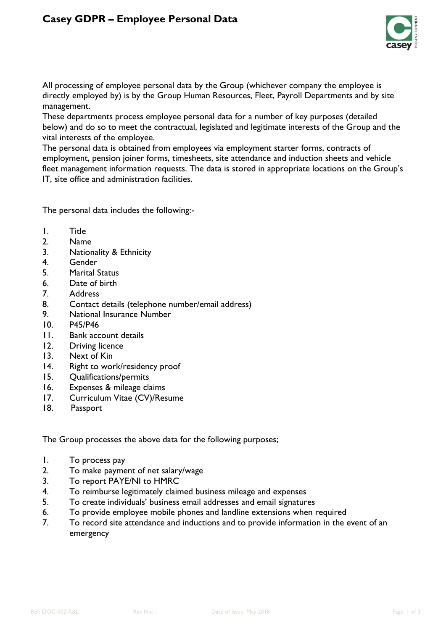

All processing of employee personal data by the Group (whichever company the employee is directly employed by) is by the Group Human Resources, Fleet, Payroll Departments and by site management.

These departments process employee personal data for a number of key purposes (detailed below) and do so to meet the contractual, legislated and legitimate interests of the Group and the vital interests of the employee.

The personal data is obtained from employees via employment starter forms, contracts of employment, pension joiner forms, timesheets, site attendance and induction sheets and vehicle fleet management information requests. The data is stored in appropriate locations on the Group's IT, site office and administration facilities.

The personal data includes the following:-

- 1. Title
- 2. Name
- 3. Nationality & Ethnicity
- 4. Gender
- 5. Marital Status
- 6. Date of birth
- 7. Address
- 8. Contact details (telephone number/email address)
- 9. National Insurance Number
- 10. P45/P46
- 11. Bank account details
- 12. Driving licence
- 13. Next of Kin
- 14. Right to work/residency proof
- 15. Qualifications/permits
- 16. Expenses & mileage claims
- 17. Curriculum Vitae (CV)/Resume
- 18. Passport

The Group processes the above data for the following purposes;

- 1. To process pay
- 2. To make payment of net salary/wage
- 3. To report PAYE/NI to HMRC
- 4. To reimburse legitimately claimed business mileage and expenses
- 5. To create individuals' business email addresses and email signatures
- 6. To provide employee mobile phones and landline extensions when required
- 7. To record site attendance and inductions and to provide information in the event of an emergency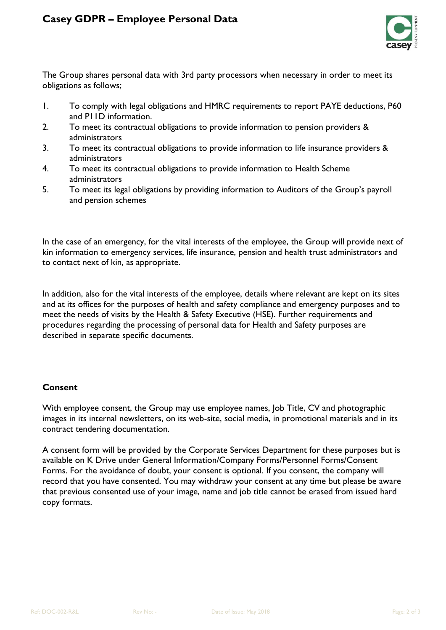

The Group shares personal data with 3rd party processors when necessary in order to meet its obligations as follows;

- 1. To comply with legal obligations and HMRC requirements to report PAYE deductions, P60 and P11D information.
- 2. To meet its contractual obligations to provide information to pension providers & administrators
- 3. To meet its contractual obligations to provide information to life insurance providers & administrators
- 4. To meet its contractual obligations to provide information to Health Scheme administrators
- 5. To meet its legal obligations by providing information to Auditors of the Group's payroll and pension schemes

In the case of an emergency, for the vital interests of the employee, the Group will provide next of kin information to emergency services, life insurance, pension and health trust administrators and to contact next of kin, as appropriate.

In addition, also for the vital interests of the employee, details where relevant are kept on its sites and at its offices for the purposes of health and safety compliance and emergency purposes and to meet the needs of visits by the Health & Safety Executive (HSE). Further requirements and procedures regarding the processing of personal data for Health and Safety purposes are described in separate specific documents.

## **Consent**

With employee consent, the Group may use employee names, Job Title, CV and photographic images in its internal newsletters, on its web-site, social media, in promotional materials and in its contract tendering documentation.

A consent form will be provided by the Corporate Services Department for these purposes but is available on K Drive under General Information/Company Forms/Personnel Forms/Consent Forms. For the avoidance of doubt, your consent is optional. If you consent, the company will record that you have consented. You may withdraw your consent at any time but please be aware that previous consented use of your image, name and job title cannot be erased from issued hard copy formats.